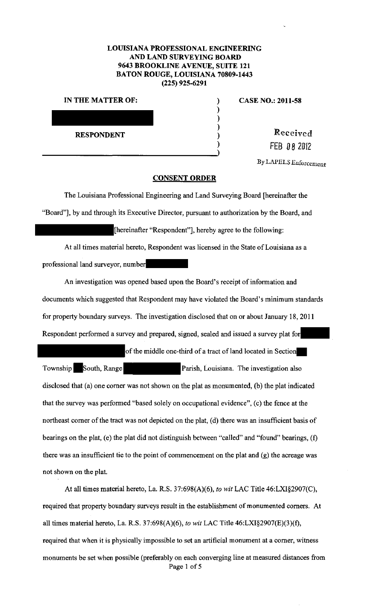## **LOUISIANA PROFESSIONAL ENGINEERING AND LAND SURVEYING BOARD 9643 BROOKLINE A VENUE, SUITE 121 BATON ROUGE, LOUISIANA 70809-1443 (225) 925-6291**

) ) ) ) )

| IN THE MATTER OF: |  |
|-------------------|--|
|                   |  |
|                   |  |
|                   |  |
| <b>RESPONDENT</b> |  |
|                   |  |

**CASE NO.: 2011-58** 

**Received** FEB 0 *8* <sup>2012</sup>

By *LlU'ELS* Enforcement

## **CONSENT ORDER**

The Louisiana Professional Engineering and Land Surveying Board [hereinafter the "Board"), by and through its Executive Director, pursuant to authorization by the Board, and [hereinafter "Respondent"], hereby agree to the following:

At all times material hereto, Respondent was licensed in the State of Louisiana as a professional land surveyor, number

An investigation was opened based upon the Board's receipt of information and documents which suggested that Respondent may have violated the Board's minimum standards for property boundary surveys. The investigation disclosed that on or about January 18, 2011 Respondent performed a survey and prepared, signed, sealed and issued a survey plat forof the middle one-third of a tract of land located in Section

Township South, Range Parish, Louisiana. The investigation also disclosed that (a) one comer was not shown on the plat as monumented, (b) the plat indicated that the survey was performed "based solely on occupational evidence", (c) the fence at the northeast comer of the tract was not depicted on the plat, (d) there was an insufficient basis of bearings on the plat, (e) the plat did not distinguish between "called" and "found" bearings, (f) there was an insufficient tie to the point of commencement on the plat and (g) the acreage was not shown on the plat.

At all times material hereto, La. R.S. 37:698(A)(6), *to wit* LAC Title 46:LXI§2907(C), required that property boundary surveys result in the establishment of monumented comers. At all times material hereto, La. R.S. 37:698(A)(6), *to wit* LAC Title 46:LX1§2907(E)(3)(f), required that when it is physically impossible to set an artificial monument at a comer, witness monuments be set when possible (preferably on each converging line at measured distances from Page 1 of 5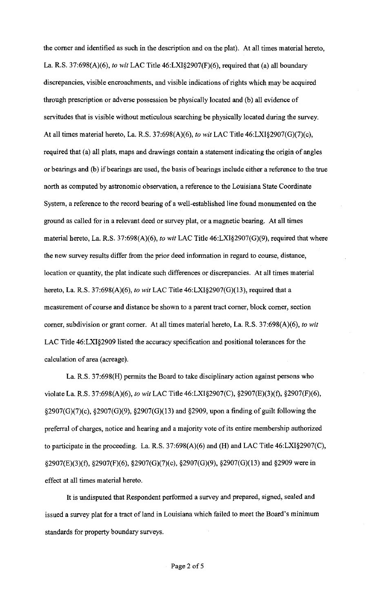the comer and identified as such in the description and on the plat). At all times material hereto, La. R.S. 37:698(A)(6), *to wit* LAC Title 46:LXI§2907(F)(6), required that (a) all boundary discrepancies, visible encroachments, and visible indications of rights which may be acquired through prescription or adverse possession be physically located and (b) all evidence of servitudes that is visible without meticulous searching be physically located during the survey. At all times material hereto, La. R.S. 37:698(A)(6), *to wit* LAC Title 46:LXI§2907(G)(7)(c), required that (a) all plats, maps and drawings contain a statement indicating the origin of angles or bearings and (b) if bearings are used, the basis of bearings include either a reference to the true north as computed by astronomic observation, a reference to the Louisiana State Coordinate System, a reference to the record bearing of a well-established line found monumented on the ground as called for in a relevant deed or survey plat, or a magnetic bearing. At all times material hereto, La. R.S. 37:698(A)(6), *to wit* LAC Title 46:LXI§2907(G)(9), required that where the new survey results differ from the prior deed information in regard to course, distance, location or quantity, the plat indicate such differences or discrepancies. At all times material hereto, La. R.S. 37:698(A)(6), *to wit* LAC Title 46:LXI§2907(G)(l3), required that a measurement of course and distance be shown to a parent tract comer, block comer, section comer, subdivision or grant comer. At all times material hereto, La. R.S. 37:698(A)(6), *to wit*  LAC Title 46:LXI§2909 listed the accuracy specification and positional tolerances for the calculation of area (acreage).

La. R.S. 37:698(H) permits the Board to take disciplinary action against persons who violate La. R.S. 37:698(A)(6), *to wit* LAC Title 46:LXI§2907(C), §2907(E)(3)(f), §2907(F)(6), §2907(G)(7)(c), §2907(G)(9), §2907(G)(13) and §2909, upon a finding of guilt following the preferral of charges, notice and hearing and a majority vote of its entire membership authorized to participate in the proceeding. La. R.S. 37:698(A)(6) and (H) and LAC Title 46:LXI§2907(C), §2907(E)(3)(f), §2907(F)(6), §2907(G)(7)(c), §2907(G)(9), §2907(G)(13) and §2909 were in effect at all times material hereto.

It is undisputed that Respondent performed a survey and prepared, signed, sealed and issued a survey plat for a tract of land in Louisiana which failed to meet the Board's minimum standards for property boundary surveys.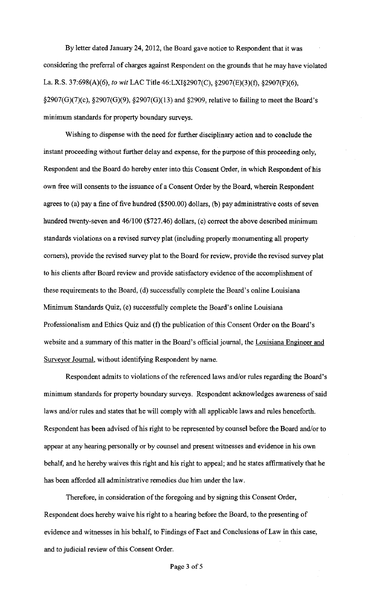By letter dated January 24, 2012, the Board gave notice to Respondent that it was considering the preferral of charges against Respondent on the grounds that he may have violated La. R.S. 37:698(A)(6), *to wit* LAC Title 46:LXI§2907(C), §2907(E)(3)(f), §2907(F)(6), §2907(G)(7)(c), §2907(G)(9), §2907(G)(13) and §2909, relative to failing to meet the Board's minimum standards for property boundary surveys.

Wishing to dispense with the need for further disciplinary action and to conclude the instant proceeding without further delay and expense, for the purpose of this proceeding only, Respondent and the Board do hereby enter into this Consent Order, in which Respondent of his own free will consents to the issuance of a Consent Order by the Board, wherein Respondent agrees to (a) pay a fine of five hundred (\$500.00) dollars, (b) pay administrative costs of seven hundred twenty-seven and 46/100 (\$727.46) dollars, (c) correct the above described minimum standards violations on a revised survey plat (including properly monumenting all property corners), provide the revised survey plat to the Board for review, provide the revised survey plat to his clients after Board review and provide satisfactory evidence of the accomplishment of these requirements to the Board, (d) successfully complete the Board's online Louisiana Minimum Standards Quiz, (e) successfully complete the Board's online Louisiana Professionalism and Ethics Quiz and (f) the publication of this Consent Order on the Board's website and a summary of this matter in the Board's official journal, the Louisiana Engineer and Surveyor Journal, without identifying Respondent by name.

Respondent admits to violations of the referenced laws and/or rules regarding the Board's minimum standards for property boundary surveys. Respondent acknowledges awareness of said laws and/or rules and states that he will comply with all applicable laws and rules henceforth. Respondent has been advised of his right to be represented by counsel before the Board and/or to appear at any hearing personally or by counsel and present witnesses and evidence in his own behalf, and he hereby waives this right and his right to appeal; and he states affirmatively that he has been afforded all administrative remedies due him under the law.

Therefore, in consideration of the foregoing and by signing this Consent Order, Respondent does hereby waive his right to a hearing before the Board, to the presenting of evidence and witnesses in his behalf, to Findings of Fact and Conclusions of Law in this case, and to judicial review of this Consent Order.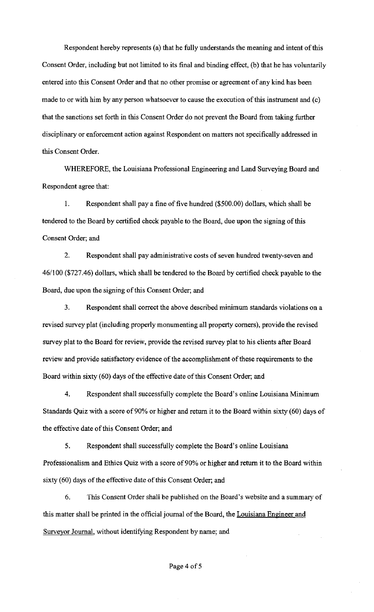Respondent hereby represents (a) that he fully understands the meaning and intent of this Consent Order, including but not limited to its final and binding effect, (b) that he has voluntarily entered into this Consent Order and that no other promise or agreement of any kind has been made to or with him by any person whatsoever to cause the execution of this instrument and (c) that the sanctions set forth in this Consent Order do not prevent the Board from taking further disciplinary or enforcement action against Respondent on matters not specifically addressed in this Consent Order.

WHEREFORE, the Louisiana Professional Engineering and Land Surveying Board and Respondent agree that:

I. Respondent shall pay a fine of five hundred (\$500.00) dollars, which shall be tendered to the Board by certified check payable to the Board, due upon the signing of this Consent Order; and

2. Respondent shall pay administrative costs of seven hundred twenty-seven and 46/100 (\$727.46) dollars, which shall be tendered to the Board by certified check payable to the Board, due upon the signing of this Consent Order; and

3. Respondent shall correct the above described minimum standards violations on a revised survey plat (including properly monumenting all property corners), provide the revised survey plat to the Board for review, provide the revised survey plat to his clients after Board review and provide satisfactory evidence of the accomplishment of these requirements to the Board within sixty (60) days of the effective date of this Consent Order; and

4. Respondent shall successfully complete the Board's online Louisiana Minimum Standards Quiz with a score of 90% or higher and return it to the Board within sixty (60) days of the effective date of this Consent Order; and

5. Respondent shall successfully complete the Board's online Louisiana Professionalism and Ethics Quiz with a score of 90% or higher and return it to the Board within sixty (60) days of the effective date of this Consent Order; and

6. This Consent Order shall be published on the Board's website and a summary of this matter shall be printed in the official journal of the Board, the Louisiana Engineer and Surveyor Journal, without identifying Respondent by name; and